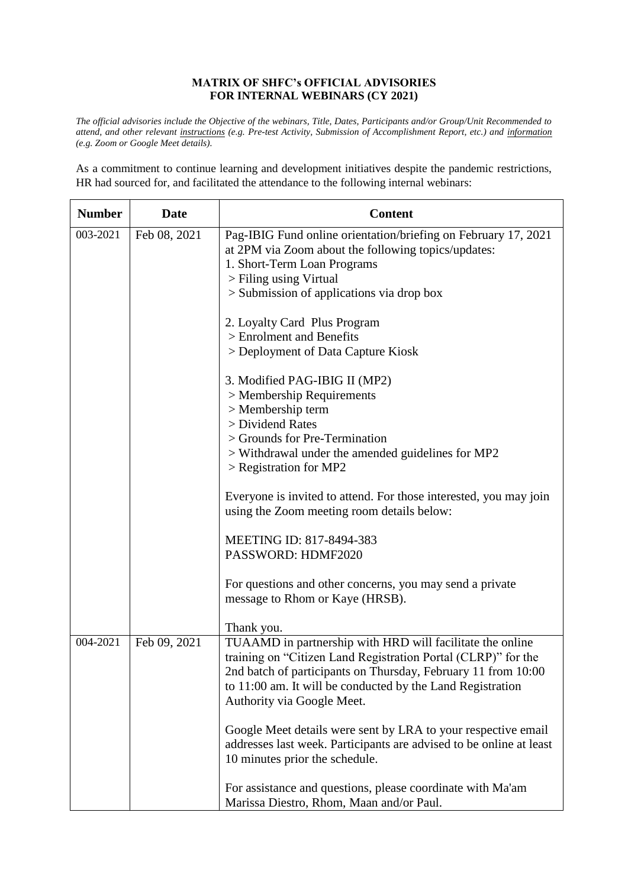## **MATRIX OF SHFC's OFFICIAL ADVISORIES FOR INTERNAL WEBINARS (CY 2021)**

*The official advisories include the Objective of the webinars, Title, Dates, Participants and/or Group/Unit Recommended to attend, and other relevant instructions (e.g. Pre-test Activity, Submission of Accomplishment Report, etc.) and information (e.g. Zoom or Google Meet details).*

As a commitment to continue learning and development initiatives despite the pandemic restrictions, HR had sourced for, and facilitated the attendance to the following internal webinars:

| <b>Number</b> | <b>Date</b>  | <b>Content</b>                                                                                                                                                                                                                                                                          |
|---------------|--------------|-----------------------------------------------------------------------------------------------------------------------------------------------------------------------------------------------------------------------------------------------------------------------------------------|
| 003-2021      | Feb 08, 2021 | Pag-IBIG Fund online orientation/briefing on February 17, 2021<br>at 2PM via Zoom about the following topics/updates:<br>1. Short-Term Loan Programs<br>> Filing using Virtual<br>> Submission of applications via drop box                                                             |
|               |              | 2. Loyalty Card Plus Program                                                                                                                                                                                                                                                            |
|               |              | > Enrolment and Benefits<br>> Deployment of Data Capture Kiosk                                                                                                                                                                                                                          |
|               |              | 3. Modified PAG-IBIG II (MP2)<br>$>$ Membership Requirements                                                                                                                                                                                                                            |
|               |              | > Membership term<br>> Dividend Rates                                                                                                                                                                                                                                                   |
|               |              | > Grounds for Pre-Termination<br>> Withdrawal under the amended guidelines for MP2<br>$>$ Registration for MP2                                                                                                                                                                          |
|               |              | Everyone is invited to attend. For those interested, you may join<br>using the Zoom meeting room details below:                                                                                                                                                                         |
|               |              | MEETING ID: 817-8494-383<br>PASSWORD: HDMF2020                                                                                                                                                                                                                                          |
|               |              | For questions and other concerns, you may send a private<br>message to Rhom or Kaye (HRSB).                                                                                                                                                                                             |
|               |              | Thank you.                                                                                                                                                                                                                                                                              |
| 004-2021      | Feb 09, 2021 | TUAAMD in partnership with HRD will facilitate the online<br>training on "Citizen Land Registration Portal (CLRP)" for the<br>2nd batch of participants on Thursday, February 11 from 10:00<br>to 11:00 am. It will be conducted by the Land Registration<br>Authority via Google Meet. |
|               |              | Google Meet details were sent by LRA to your respective email<br>addresses last week. Participants are advised to be online at least<br>10 minutes prior the schedule.                                                                                                                  |
|               |              | For assistance and questions, please coordinate with Ma'am<br>Marissa Diestro, Rhom, Maan and/or Paul.                                                                                                                                                                                  |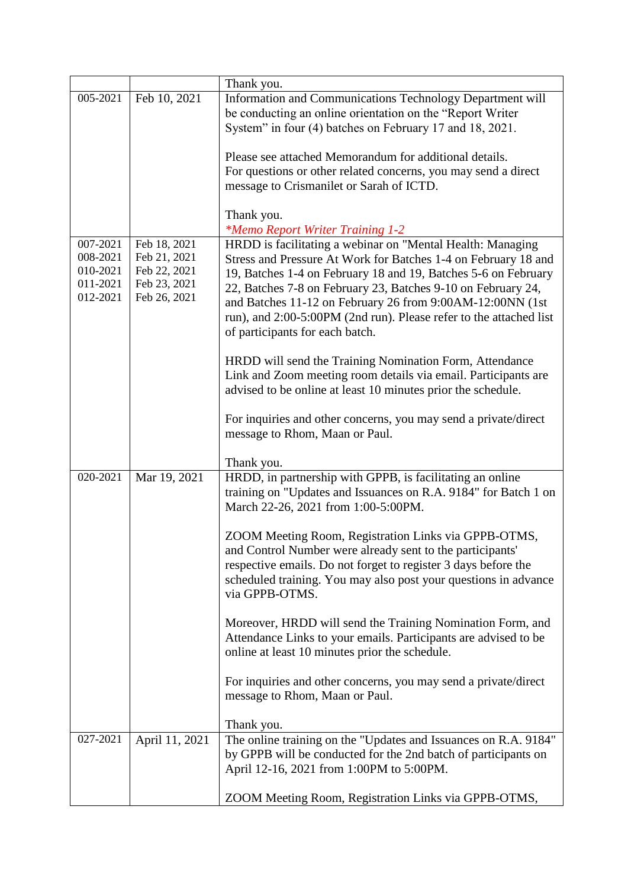|                                                          |                                                                              | Thank you.                                                                                                                                                                                                                                                                                                                                                                                                                           |
|----------------------------------------------------------|------------------------------------------------------------------------------|--------------------------------------------------------------------------------------------------------------------------------------------------------------------------------------------------------------------------------------------------------------------------------------------------------------------------------------------------------------------------------------------------------------------------------------|
| 005-2021                                                 | Feb 10, 2021                                                                 | Information and Communications Technology Department will<br>be conducting an online orientation on the "Report Writer<br>System" in four (4) batches on February 17 and 18, 2021.                                                                                                                                                                                                                                                   |
|                                                          |                                                                              | Please see attached Memorandum for additional details.<br>For questions or other related concerns, you may send a direct<br>message to Crismanilet or Sarah of ICTD.                                                                                                                                                                                                                                                                 |
|                                                          |                                                                              | Thank you.<br><i>*Memo Report Writer Training 1-2</i>                                                                                                                                                                                                                                                                                                                                                                                |
| 007-2021<br>008-2021<br>010-2021<br>011-2021<br>012-2021 | Feb 18, 2021<br>Feb 21, 2021<br>Feb 22, 2021<br>Feb 23, 2021<br>Feb 26, 2021 | HRDD is facilitating a webinar on "Mental Health: Managing<br>Stress and Pressure At Work for Batches 1-4 on February 18 and<br>19, Batches 1-4 on February 18 and 19, Batches 5-6 on February<br>22, Batches 7-8 on February 23, Batches 9-10 on February 24,<br>and Batches 11-12 on February 26 from 9:00AM-12:00NN (1st<br>run), and 2:00-5:00PM (2nd run). Please refer to the attached list<br>of participants for each batch. |
|                                                          |                                                                              | HRDD will send the Training Nomination Form, Attendance<br>Link and Zoom meeting room details via email. Participants are<br>advised to be online at least 10 minutes prior the schedule.                                                                                                                                                                                                                                            |
|                                                          |                                                                              | For inquiries and other concerns, you may send a private/direct<br>message to Rhom, Maan or Paul.                                                                                                                                                                                                                                                                                                                                    |
|                                                          |                                                                              | Thank you.                                                                                                                                                                                                                                                                                                                                                                                                                           |
| 020-2021                                                 | Mar 19, 2021                                                                 | HRDD, in partnership with GPPB, is facilitating an online<br>training on "Updates and Issuances on R.A. 9184" for Batch 1 on<br>March 22-26, 2021 from 1:00-5:00PM.                                                                                                                                                                                                                                                                  |
|                                                          |                                                                              | ZOOM Meeting Room, Registration Links via GPPB-OTMS,<br>and Control Number were already sent to the participants'<br>respective emails. Do not forget to register 3 days before the<br>scheduled training. You may also post your questions in advance<br>via GPPB-OTMS.                                                                                                                                                             |
|                                                          |                                                                              | Moreover, HRDD will send the Training Nomination Form, and<br>Attendance Links to your emails. Participants are advised to be<br>online at least 10 minutes prior the schedule.                                                                                                                                                                                                                                                      |
|                                                          |                                                                              | For inquiries and other concerns, you may send a private/direct<br>message to Rhom, Maan or Paul.                                                                                                                                                                                                                                                                                                                                    |
|                                                          |                                                                              | Thank you.                                                                                                                                                                                                                                                                                                                                                                                                                           |
| 027-2021                                                 | April 11, 2021                                                               | The online training on the "Updates and Issuances on R.A. 9184"<br>by GPPB will be conducted for the 2nd batch of participants on<br>April 12-16, 2021 from 1:00PM to 5:00PM.                                                                                                                                                                                                                                                        |
|                                                          |                                                                              | ZOOM Meeting Room, Registration Links via GPPB-OTMS,                                                                                                                                                                                                                                                                                                                                                                                 |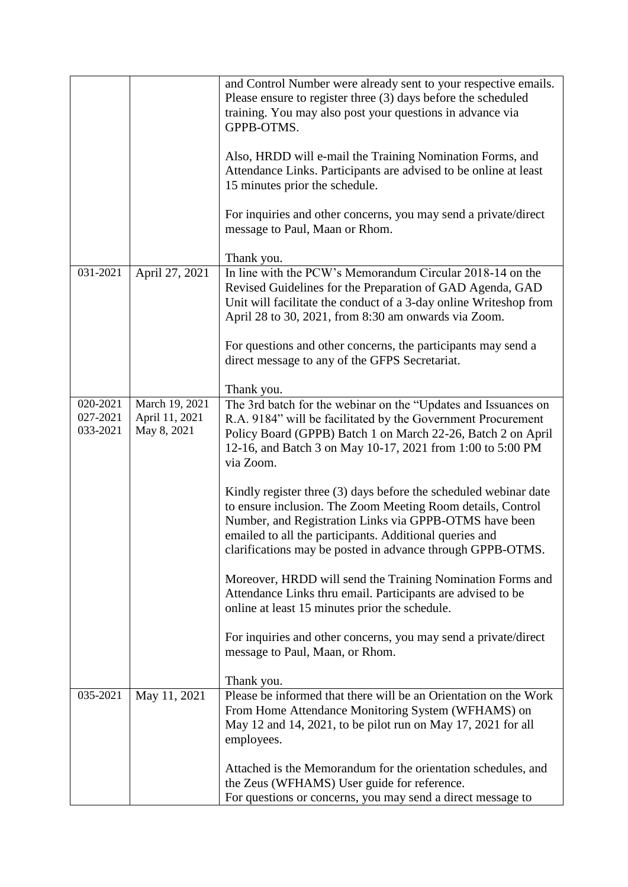|                                  |                                                 | and Control Number were already sent to your respective emails.<br>Please ensure to register three (3) days before the scheduled<br>training. You may also post your questions in advance via                                                                                                                      |
|----------------------------------|-------------------------------------------------|--------------------------------------------------------------------------------------------------------------------------------------------------------------------------------------------------------------------------------------------------------------------------------------------------------------------|
|                                  |                                                 | GPPB-OTMS.                                                                                                                                                                                                                                                                                                         |
|                                  |                                                 | Also, HRDD will e-mail the Training Nomination Forms, and<br>Attendance Links. Participants are advised to be online at least<br>15 minutes prior the schedule.                                                                                                                                                    |
|                                  |                                                 | For inquiries and other concerns, you may send a private/direct<br>message to Paul, Maan or Rhom.                                                                                                                                                                                                                  |
|                                  |                                                 | Thank you.                                                                                                                                                                                                                                                                                                         |
| 031-2021                         | April 27, 2021                                  | In line with the PCW's Memorandum Circular 2018-14 on the<br>Revised Guidelines for the Preparation of GAD Agenda, GAD<br>Unit will facilitate the conduct of a 3-day online Writeshop from<br>April 28 to 30, 2021, from 8:30 am onwards via Zoom.                                                                |
|                                  |                                                 | For questions and other concerns, the participants may send a<br>direct message to any of the GFPS Secretariat.                                                                                                                                                                                                    |
|                                  |                                                 | Thank you.                                                                                                                                                                                                                                                                                                         |
| 020-2021<br>027-2021<br>033-2021 | March 19, 2021<br>April 11, 2021<br>May 8, 2021 | The 3rd batch for the webinar on the "Updates and Issuances on<br>R.A. 9184" will be facilitated by the Government Procurement<br>Policy Board (GPPB) Batch 1 on March 22-26, Batch 2 on April                                                                                                                     |
|                                  |                                                 | 12-16, and Batch 3 on May 10-17, 2021 from 1:00 to 5:00 PM<br>via Zoom.                                                                                                                                                                                                                                            |
|                                  |                                                 | Kindly register three (3) days before the scheduled webinar date<br>to ensure inclusion. The Zoom Meeting Room details, Control<br>Number, and Registration Links via GPPB-OTMS have been<br>emailed to all the participants. Additional queries and<br>clarifications may be posted in advance through GPPB-OTMS. |
|                                  |                                                 | Moreover, HRDD will send the Training Nomination Forms and<br>Attendance Links thru email. Participants are advised to be<br>online at least 15 minutes prior the schedule.                                                                                                                                        |
|                                  |                                                 | For inquiries and other concerns, you may send a private/direct<br>message to Paul, Maan, or Rhom.                                                                                                                                                                                                                 |
|                                  |                                                 | Thank you.                                                                                                                                                                                                                                                                                                         |
| 035-2021                         | May 11, 2021                                    | Please be informed that there will be an Orientation on the Work<br>From Home Attendance Monitoring System (WFHAMS) on<br>May 12 and 14, 2021, to be pilot run on May 17, 2021 for all<br>employees.                                                                                                               |
|                                  |                                                 | Attached is the Memorandum for the orientation schedules, and<br>the Zeus (WFHAMS) User guide for reference.<br>For questions or concerns, you may send a direct message to                                                                                                                                        |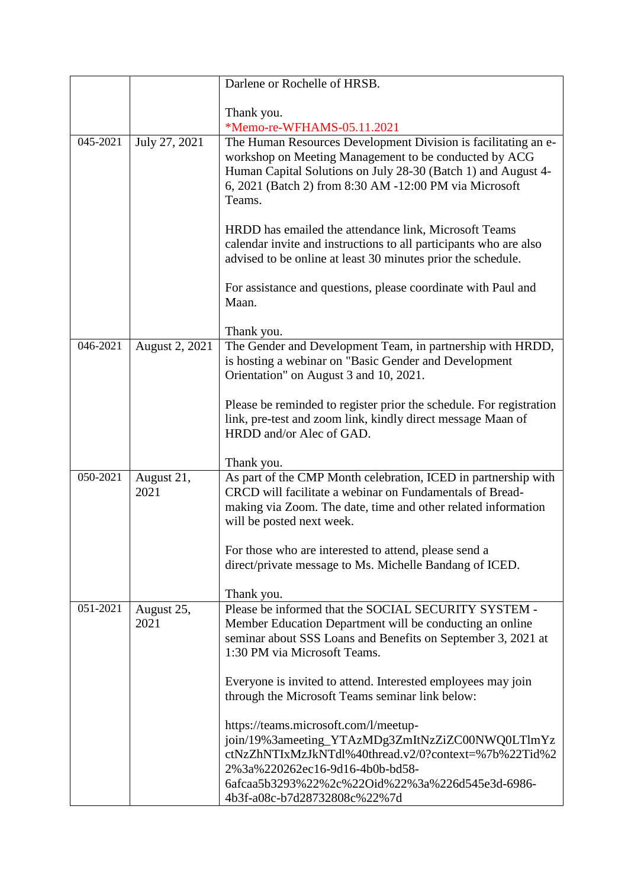|          |                    | Darlene or Rochelle of HRSB.                                                                                                                                                                                                                                            |
|----------|--------------------|-------------------------------------------------------------------------------------------------------------------------------------------------------------------------------------------------------------------------------------------------------------------------|
|          |                    |                                                                                                                                                                                                                                                                         |
|          |                    | Thank you.<br>*Memo-re-WFHAMS-05.11.2021                                                                                                                                                                                                                                |
| 045-2021 | July 27, 2021      | The Human Resources Development Division is facilitating an e-<br>workshop on Meeting Management to be conducted by ACG<br>Human Capital Solutions on July 28-30 (Batch 1) and August 4-<br>6, 2021 (Batch 2) from 8:30 AM -12:00 PM via Microsoft<br>Teams.            |
|          |                    | HRDD has emailed the attendance link, Microsoft Teams<br>calendar invite and instructions to all participants who are also<br>advised to be online at least 30 minutes prior the schedule.                                                                              |
|          |                    | For assistance and questions, please coordinate with Paul and<br>Maan.                                                                                                                                                                                                  |
|          |                    | Thank you.                                                                                                                                                                                                                                                              |
| 046-2021 | August 2, 2021     | The Gender and Development Team, in partnership with HRDD,<br>is hosting a webinar on "Basic Gender and Development<br>Orientation" on August 3 and 10, 2021.                                                                                                           |
|          |                    | Please be reminded to register prior the schedule. For registration<br>link, pre-test and zoom link, kindly direct message Maan of<br>HRDD and/or Alec of GAD.                                                                                                          |
|          |                    | Thank you.                                                                                                                                                                                                                                                              |
| 050-2021 | August 21,<br>2021 | As part of the CMP Month celebration, ICED in partnership with<br>CRCD will facilitate a webinar on Fundamentals of Bread-<br>making via Zoom. The date, time and other related information<br>will be posted next week.                                                |
|          |                    | For those who are interested to attend, please send a<br>direct/private message to Ms. Michelle Bandang of ICED.                                                                                                                                                        |
| 051-2021 | August 25,         | Thank you.<br>Please be informed that the SOCIAL SECURITY SYSTEM -                                                                                                                                                                                                      |
|          | 2021               | Member Education Department will be conducting an online<br>seminar about SSS Loans and Benefits on September 3, 2021 at<br>1:30 PM via Microsoft Teams.                                                                                                                |
|          |                    | Everyone is invited to attend. Interested employees may join<br>through the Microsoft Teams seminar link below:                                                                                                                                                         |
|          |                    | https://teams.microsoft.com/l/meetup-<br>join/19%3ameeting_YTAzMDg3ZmItNzZiZC00NWQ0LTlmYz<br>ctNzZhNTIxMzJkNTdl%40thread.v2/0?context=%7b%22Tid%2<br>2%3a%220262ec16-9d16-4b0b-bd58-<br>6afcaa5b3293%22%2c%22Oid%22%3a%226d545e3d-6986-<br>4b3f-a08c-b7d28732808c%22%7d |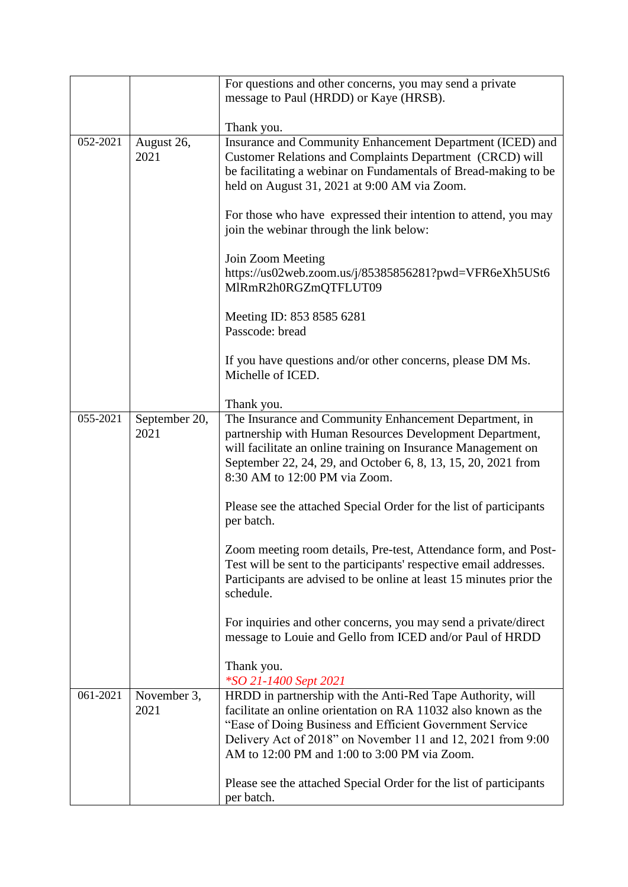|          |                       | For questions and other concerns, you may send a private                                                                                                                                                                                                                                                 |
|----------|-----------------------|----------------------------------------------------------------------------------------------------------------------------------------------------------------------------------------------------------------------------------------------------------------------------------------------------------|
|          |                       | message to Paul (HRDD) or Kaye (HRSB).                                                                                                                                                                                                                                                                   |
|          |                       |                                                                                                                                                                                                                                                                                                          |
|          |                       | Thank you.                                                                                                                                                                                                                                                                                               |
| 052-2021 | August 26,<br>2021    | Insurance and Community Enhancement Department (ICED) and<br>Customer Relations and Complaints Department (CRCD) will<br>be facilitating a webinar on Fundamentals of Bread-making to be<br>held on August 31, 2021 at 9:00 AM via Zoom.                                                                 |
|          |                       | For those who have expressed their intention to attend, you may<br>join the webinar through the link below:                                                                                                                                                                                              |
|          |                       | Join Zoom Meeting<br>https://us02web.zoom.us/j/85385856281?pwd=VFR6eXh5USt6<br>MIRmR2h0RGZmQTFLUT09                                                                                                                                                                                                      |
|          |                       | Meeting ID: 853 8585 6281<br>Passcode: bread                                                                                                                                                                                                                                                             |
|          |                       | If you have questions and/or other concerns, please DM Ms.<br>Michelle of ICED.                                                                                                                                                                                                                          |
|          |                       | Thank you.                                                                                                                                                                                                                                                                                               |
| 055-2021 | September 20,<br>2021 | The Insurance and Community Enhancement Department, in<br>partnership with Human Resources Development Department,<br>will facilitate an online training on Insurance Management on<br>September 22, 24, 29, and October 6, 8, 13, 15, 20, 2021 from<br>8:30 AM to 12:00 PM via Zoom.                    |
|          |                       | Please see the attached Special Order for the list of participants<br>per batch.                                                                                                                                                                                                                         |
|          |                       | Zoom meeting room details, Pre-test, Attendance form, and Post-<br>Test will be sent to the participants' respective email addresses.<br>Participants are advised to be online at least 15 minutes prior the<br>schedule.                                                                                |
|          |                       | For inquiries and other concerns, you may send a private/direct<br>message to Louie and Gello from ICED and/or Paul of HRDD                                                                                                                                                                              |
|          |                       | Thank you.<br>*SO 21-1400 Sept 2021                                                                                                                                                                                                                                                                      |
| 061-2021 | November 3,<br>2021   | HRDD in partnership with the Anti-Red Tape Authority, will<br>facilitate an online orientation on RA 11032 also known as the<br>"Ease of Doing Business and Efficient Government Service"<br>Delivery Act of 2018" on November 11 and 12, 2021 from 9:00<br>AM to 12:00 PM and 1:00 to 3:00 PM via Zoom. |
|          |                       | Please see the attached Special Order for the list of participants<br>per batch.                                                                                                                                                                                                                         |